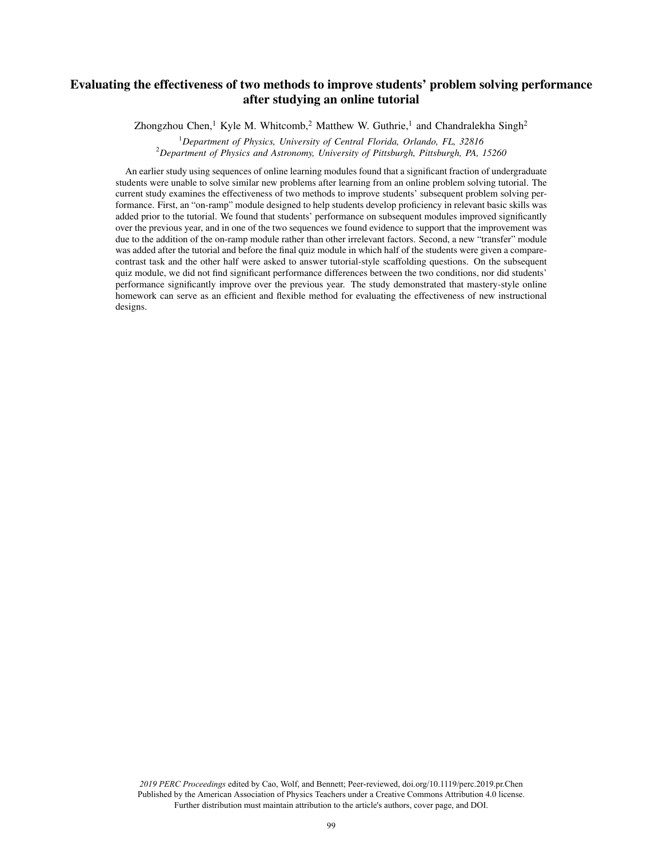# Evaluating the effectiveness of two methods to improve students' problem solving performance after studying an online tutorial

Zhongzhou Chen,<sup>1</sup> Kyle M. Whitcomb,<sup>2</sup> Matthew W. Guthrie,<sup>1</sup> and Chandralekha Singh<sup>2</sup>

<sup>1</sup>*Department of Physics, University of Central Florida, Orlando, FL, 32816*

<sup>2</sup>*Department of Physics and Astronomy, University of Pittsburgh, Pittsburgh, PA, 15260*

An earlier study using sequences of online learning modules found that a significant fraction of undergraduate students were unable to solve similar new problems after learning from an online problem solving tutorial. The current study examines the effectiveness of two methods to improve students' subsequent problem solving performance. First, an "on-ramp" module designed to help students develop proficiency in relevant basic skills was added prior to the tutorial. We found that students' performance on subsequent modules improved significantly over the previous year, and in one of the two sequences we found evidence to support that the improvement was due to the addition of the on-ramp module rather than other irrelevant factors. Second, a new "transfer" module was added after the tutorial and before the final quiz module in which half of the students were given a comparecontrast task and the other half were asked to answer tutorial-style scaffolding questions. On the subsequent quiz module, we did not find significant performance differences between the two conditions, nor did students' performance significantly improve over the previous year. The study demonstrated that mastery-style online homework can serve as an efficient and flexible method for evaluating the effectiveness of new instructional designs.

*2019 PERC Proceedings* edited by Cao, Wolf, and Bennett; Peer-reviewed, doi.org/10.1119/perc.2019.pr.Chen Published by the American Association of Physics Teachers under a Creative Commons Attribution 4.0 license. Further distribution must maintain attribution to the article's authors, cover page, and DOI.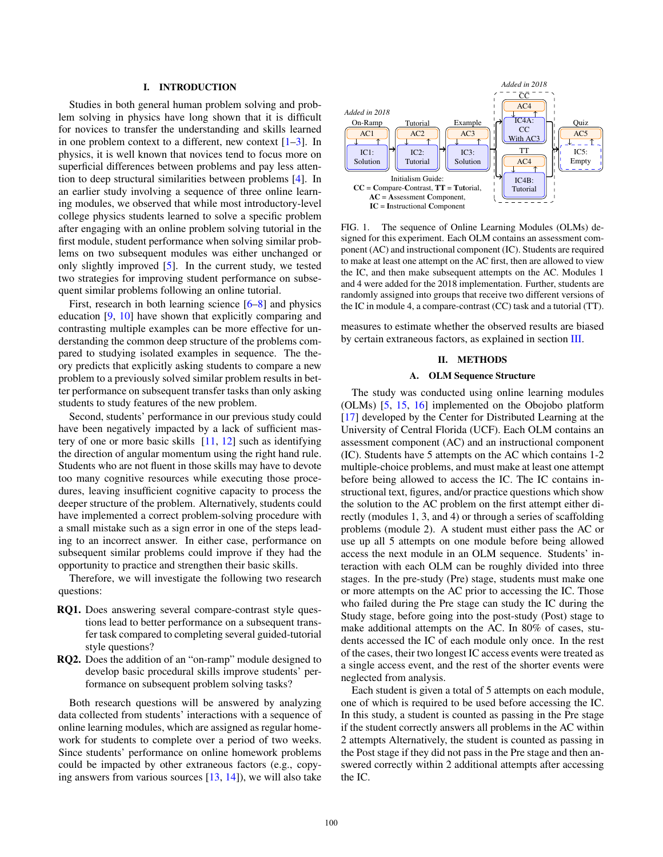### I. INTRODUCTION

Studies in both general human problem solving and problem solving in physics have long shown that it is difficult for novices to transfer the understanding and skills learned in one problem context to a different, new context  $[1-3]$ . In physics, it is well known that novices tend to focus more on superficial differences between problems and pay less attention to deep structural similarities between problems [4]. In an earlier study involving a sequence of three online learning modules, we observed that while most introductory-level college physics students learned to solve a specific problem after engaging with an online problem solving tutorial in the first module, student performance when solving similar problems on two subsequent modules was either unchanged or only slightly improved [5]. In the current study, we tested two strategies for improving student performance on subsequent similar problems following an online tutorial.

First, research in both learning science [6–8] and physics education [9, 10] have shown that explicitly comparing and contrasting multiple examples can be more effective for understanding the common deep structure of the problems compared to studying isolated examples in sequence. The theory predicts that explicitly asking students to compare a new problem to a previously solved similar problem results in better performance on subsequent transfer tasks than only asking students to study features of the new problem.

Second, students' performance in our previous study could have been negatively impacted by a lack of sufficient mastery of one or more basic skills  $[11, 12]$  such as identifying the direction of angular momentum using the right hand rule. Students who are not fluent in those skills may have to devote too many cognitive resources while executing those procedures, leaving insufficient cognitive capacity to process the deeper structure of the problem. Alternatively, students could have implemented a correct problem-solving procedure with a small mistake such as a sign error in one of the steps leading to an incorrect answer. In either case, performance on subsequent similar problems could improve if they had the opportunity to practice and strengthen their basic skills.

Therefore, we will investigate the following two research questions:

- RQ1. Does answering several compare-contrast style questions lead to better performance on a subsequent transfer task compared to completing several guided-tutorial style questions?
- RQ2. Does the addition of an "on-ramp" module designed to develop basic procedural skills improve students' performance on subsequent problem solving tasks?

Both research questions will be answered by analyzing data collected from students' interactions with a sequence of online learning modules, which are assigned as regular homework for students to complete over a period of two weeks. Since students' performance on online homework problems could be impacted by other extraneous factors (e.g., copying answers from various sources  $[13, 14]$ , we will also take



FIG. 1. The sequence of Online Learning Modules (OLMs) designed for this experiment. Each OLM contains an assessment component (AC) and instructional component (IC). Students are required to make at least one attempt on the AC first, then are allowed to view the IC, and then make subsequent attempts on the AC. Modules 1 and 4 were added for the 2018 implementation. Further, students are randomly assigned into groups that receive two different versions of the IC in module 4, a compare-contrast (CC) task and a tutorial (TT).

measures to estimate whether the observed results are biased by certain extraneous factors, as explained in section III.

### II. METHODS

# A. OLM Sequence Structure

The study was conducted using online learning modules (OLMs) [5, 15, 16] implemented on the Obojobo platform [17] developed by the Center for Distributed Learning at the University of Central Florida (UCF). Each OLM contains an assessment component (AC) and an instructional component (IC). Students have 5 attempts on the AC which contains 1-2 multiple-choice problems, and must make at least one attempt before being allowed to access the IC. The IC contains instructional text, figures, and/or practice questions which show the solution to the AC problem on the first attempt either directly (modules 1, 3, and 4) or through a series of scaffolding problems (module 2). A student must either pass the AC or use up all 5 attempts on one module before being allowed access the next module in an OLM sequence. Students' interaction with each OLM can be roughly divided into three stages. In the pre-study (Pre) stage, students must make one or more attempts on the AC prior to accessing the IC. Those who failed during the Pre stage can study the IC during the Study stage, before going into the post-study (Post) stage to make additional attempts on the AC. In 80% of cases, students accessed the IC of each module only once. In the rest of the cases, their two longest IC access events were treated as a single access event, and the rest of the shorter events were neglected from analysis.

Each student is given a total of 5 attempts on each module, one of which is required to be used before accessing the IC. In this study, a student is counted as passing in the Pre stage if the student correctly answers all problems in the AC within 2 attempts Alternatively, the student is counted as passing in the Post stage if they did not pass in the Pre stage and then answered correctly within 2 additional attempts after accessing the IC.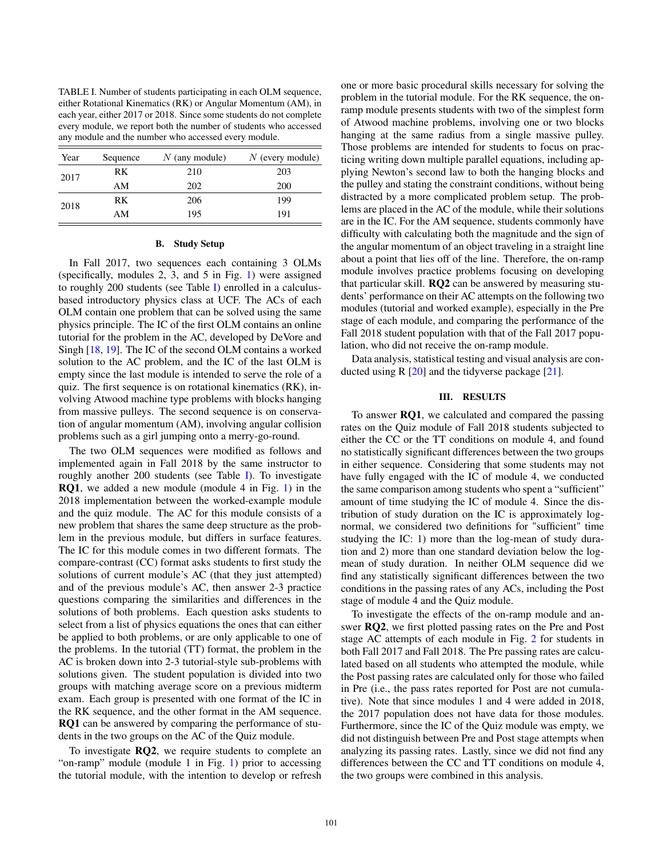<span id="page-2-0"></span>TABLE I. Number of students participating in each OLM sequence, either Rotational Kinematics (RK) or Angular Momentum (AM), in each year, either 2017 or 2018. Since some students do not complete every module, we report both the number of students who accessed any module and the number who accessed every module.

| Year | Sequence | $N$ (any module) | $N$ (every module) |  |  |
|------|----------|------------------|--------------------|--|--|
| 2017 | RK       | 210              | 203                |  |  |
|      | AM       | 202              | 200                |  |  |
| 2018 | RK       | 206              | 199                |  |  |
|      | AM       | 195              | 191                |  |  |

#### B. Study Setup

In Fall 2017, two sequences each containing 3 OLMs (specifically, modules 2, 3, and 5 in Fig. 1) were assigned to roughly 200 students (see Table [I\)](#page-2-0) enrolled in a calculusbased introductory physics class at UCF. The ACs of each OLM contain one problem that can be solved using the same physics principle. The IC of the first OLM contains an online tutorial for the problem in the AC, developed by DeVore and Singh [18, 19]. The IC of the second OLM contains a worked solution to the AC problem, and the IC of the last OLM is empty since the last module is intended to serve the role of a quiz. The first sequence is on rotational kinematics (RK), involving Atwood machine type problems with blocks hanging from massive pulleys. The second sequence is on conservation of angular momentum (AM), involving angular collision problems such as a girl jumping onto a merry-go-round.

The two OLM sequences were modified as follows and implemented again in Fall 2018 by the same instructor to roughly another 200 students (see Table [I\)](#page-2-0). To investigate RQ1, we added a new module (module 4 in Fig. 1) in the 2018 implementation between the worked-example module and the quiz module. The AC for this module consists of a new problem that shares the same deep structure as the problem in the previous module, but differs in surface features. The IC for this module comes in two different formats. The compare-contrast (CC) format asks students to first study the solutions of current module's AC (that they just attempted) and of the previous module's AC, then answer 2-3 practice questions comparing the similarities and differences in the solutions of both problems. Each question asks students to select from a list of physics equations the ones that can either be applied to both problems, or are only applicable to one of the problems. In the tutorial (TT) format, the problem in the AC is broken down into 2-3 tutorial-style sub-problems with solutions given. The student population is divided into two groups with matching average score on a previous midterm exam. Each group is presented with one format of the IC in the RK sequence, and the other format in the AM sequence. RQ1 can be answered by comparing the performance of students in the two groups on the AC of the Quiz module.

To investigate RQ2, we require students to complete an "on-ramp" module (module 1 in Fig. 1) prior to accessing the tutorial module, with the intention to develop or refresh one or more basic procedural skills necessary for solving the problem in the tutorial module. For the RK sequence, the onramp module presents students with two of the simplest form of Atwood machine problems, involving one or two blocks hanging at the same radius from a single massive pulley. Those problems are intended for students to focus on practicing writing down multiple parallel equations, including applying Newton's second law to both the hanging blocks and the pulley and stating the constraint conditions, without being distracted by a more complicated problem setup. The problems are placed in the AC of the module, while their solutions are in the IC. For the AM sequence, students commonly have difficulty with calculating both the magnitude and the sign of the angular momentum of an object traveling in a straight line about a point that lies off of the line. Therefore, the on-ramp module involves practice problems focusing on developing that particular skill. RQ2 can be answered by measuring students' performance on their AC attempts on the following two modules (tutorial and worked example), especially in the Pre stage of each module, and comparing the performance of the Fall 2018 student population with that of the Fall 2017 population, who did not receive the on-ramp module.

Data analysis, statistical testing and visual analysis are conducted using R  $[20]$  and the tidyverse package  $[21]$ .

# III. RESULTS

To answer RQ1, we calculated and compared the passing rates on the Quiz module of Fall 2018 students subjected to either the CC or the TT conditions on module 4, and found no statistically significant differences between the two groups in either sequence. Considering that some students may not have fully engaged with the IC of module 4, we conducted the same comparison among students who spent a "sufficient" amount of time studying the IC of module 4. Since the distribution of study duration on the IC is approximately lognormal, we considered two definitions for "sufficient" time studying the IC: 1) more than the log-mean of study duration and 2) more than one standard deviation below the logmean of study duration. In neither OLM sequence did we find any statistically significant differences between the two conditions in the passing rates of any ACs, including the Post stage of module 4 and the Quiz module.

To investigate the effects of the on-ramp module and answer RQ2, we first plotted passing rates on the Pre and Post stage AC attempts of each module in Fig. 2 for students in both Fall 2017 and Fall 2018. The Pre passing rates are calculated based on all students who attempted the module, while the Post passing rates are calculated only for those who failed in Pre (i.e., the pass rates reported for Post are not cumulative). Note that since modules 1 and 4 were added in 2018, the 2017 population does not have data for those modules. Furthermore, since the IC of the Quiz module was empty, we did not distinguish between Pre and Post stage attempts when analyzing its passing rates. Lastly, since we did not find any differences between the CC and TT conditions on module 4, the two groups were combined in this analysis.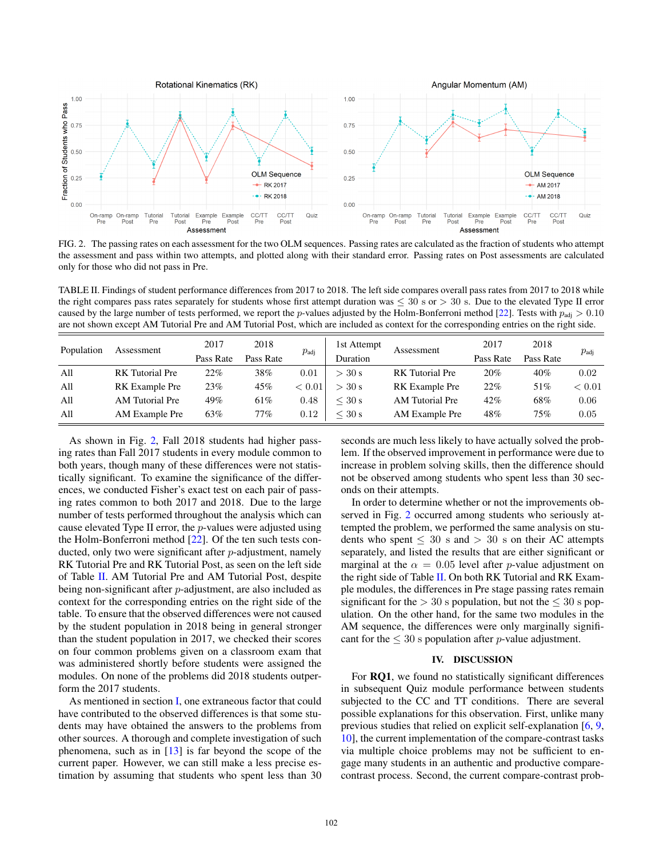

<span id="page-3-0"></span>FIG. 2. The passing rates on each assessment for the two OLM sequences. Passing rates are calculated as the fraction of students who attempt the assessment and pass within two attempts, and plotted along with their standard error. Passing rates on Post assessments are calculated only for those who did not pass in Pre.

<span id="page-3-1"></span>TABLE II. Findings of student performance differences from 2017 to 2018. The left side compares overall pass rates from 2017 to 2018 while the right compares pass rates separately for students whose first attempt duration was  $\leq 30$  s or  $> 30$  s. Due to the elevated Type II error caused by the large number of tests performed, we report the p-values adjusted by the Holm-Bonferroni method [22]. Tests with  $p_{\text{adj}} > 0.10$ are not shown except AM Tutorial Pre and AM Tutorial Post, which are included as context for the corresponding entries on the right side.

| Population | Assessment             | 2017      | 2018      | $p_{\rm{adj}}$ | 1st Attempt | Assessment             | 2017      | 2018      | $p_{\text{adi}}$ |
|------------|------------------------|-----------|-----------|----------------|-------------|------------------------|-----------|-----------|------------------|
|            |                        | Pass Rate | Pass Rate |                | Duration    |                        | Pass Rate | Pass Rate |                  |
| All        | <b>RK</b> Tutorial Pre | 22%       | 38%       | 0.01           | $>$ 30 s    | <b>RK</b> Tutorial Pre | 20%       | 40%       | 0.02             |
| All        | RK Example Pre         | 23%       | 45%       | < 0.01         | $>$ 30 s    | RK Example Pre         | 22%       | 51%       | ${}< 0.01$       |
| All        | AM Tutorial Pre        | 49%       | 61%       | 0.48           | $<$ 30 s    | <b>AM</b> Tutorial Pre | 42%       | 68%       | 0.06             |
| All        | AM Example Pre         | 63%       | 77%       | 0.12           | $<$ 30 s    | AM Example Pre         | 48%       | 75%       | 0.05             |

As shown in Fig. [2,](#page-3-0) Fall 2018 students had higher passing rates than Fall 2017 students in every module common to both years, though many of these differences were not statistically significant. To examine the significance of the differences, we conducted Fisher's exact test on each pair of passing rates common to both 2017 and 2018. Due to the large number of tests performed throughout the analysis which can cause elevated Type II error, the p-values were adjusted using the Holm-Bonferroni method [22]. Of the ten such tests conducted, only two were significant after p-adjustment, namely RK Tutorial Pre and RK Tutorial Post, as seen on the left side of Table [II.](#page-3-1) AM Tutorial Pre and AM Tutorial Post, despite being non-significant after p-adjustment, are also included as context for the corresponding entries on the right side of the table. To ensure that the observed differences were not caused by the student population in 2018 being in general stronger than the student population in 2017, we checked their scores on four common problems given on a classroom exam that was administered shortly before students were assigned the modules. On none of the problems did 2018 students outperform the 2017 students.

As mentioned in section I, one extraneous factor that could have contributed to the observed differences is that some students may have obtained the answers to the problems from other sources. A thorough and complete investigation of such phenomena, such as in  $[13]$  is far beyond the scope of the current paper. However, we can still make a less precise estimation by assuming that students who spent less than 30 seconds are much less likely to have actually solved the problem. If the observed improvement in performance were due to increase in problem solving skills, then the difference should not be observed among students who spent less than 30 seconds on their attempts.

In order to determine whether or not the improvements observed in Fig. [2](#page-3-0) occurred among students who seriously attempted the problem, we performed the same analysis on students who spent  $\leq 30$  s and  $> 30$  s on their AC attempts separately, and listed the results that are either significant or marginal at the  $\alpha = 0.05$  level after p-value adjustment on the right side of Table [II.](#page-3-1) On both RK Tutorial and RK Example modules, the differences in Pre stage passing rates remain significant for the  $> 30$  s population, but not the  $\leq 30$  s population. On the other hand, for the same two modules in the AM sequence, the differences were only marginally significant for the  $\leq 30$  s population after p-value adjustment.

# IV. DISCUSSION

For RQ1, we found no statistically significant differences in subsequent Quiz module performance between students subjected to the CC and TT conditions. There are several possible explanations for this observation. First, unlike many previous studies that relied on explicit self-explanation [6, 9, 10], the current implementation of the compare-contrast tasks via multiple choice problems may not be sufficient to engage many students in an authentic and productive comparecontrast process. Second, the current compare-contrast prob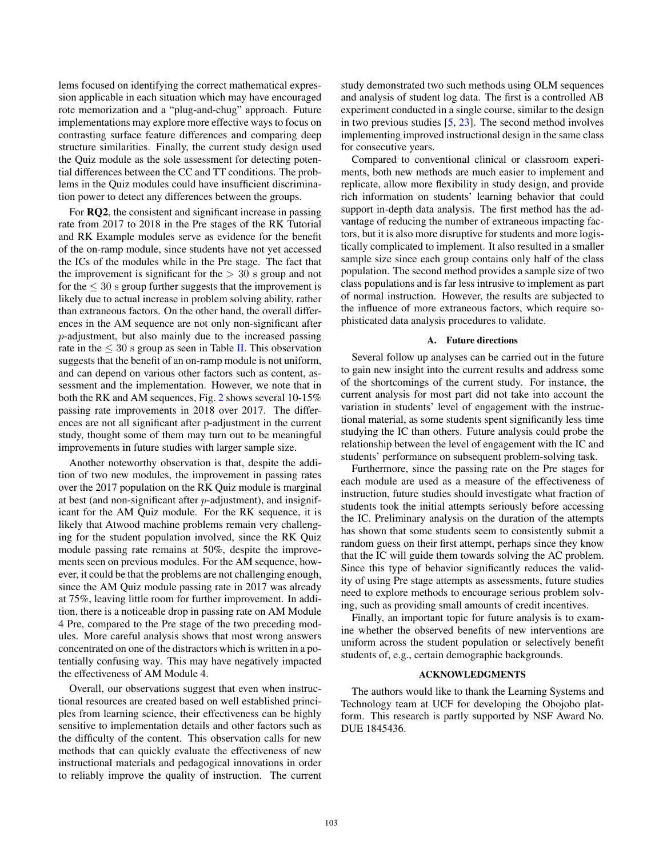lems focused on identifying the correct mathematical expression applicable in each situation which may have encouraged rote memorization and a "plug-and-chug" approach. Future implementations may explore more effective ways to focus on contrasting surface feature differences and comparing deep structure similarities. Finally, the current study design used the Quiz module as the sole assessment for detecting potential differences between the CC and TT conditions. The problems in the Quiz modules could have insufficient discrimination power to detect any differences between the groups.

For RQ2, the consistent and significant increase in passing rate from 2017 to 2018 in the Pre stages of the RK Tutorial and RK Example modules serve as evidence for the benefit of the on-ramp module, since students have not yet accessed the ICs of the modules while in the Pre stage. The fact that the improvement is significant for the  $> 30$  s group and not for the  $\leq 30$  s group further suggests that the improvement is likely due to actual increase in problem solving ability, rather than extraneous factors. On the other hand, the overall differences in the AM sequence are not only non-significant after p-adjustment, but also mainly due to the increased passing rate in the  $\leq 30$  s group as seen in Table II. This observation suggests that the benefit of an on-ramp module is not uniform, and can depend on various other factors such as content, assessment and the implementation. However, we note that in both the RK and AM sequences, Fig. 2 shows several 10-15% passing rate improvements in 2018 over 2017. The differences are not all significant after p-adjustment in the current study, thought some of them may turn out to be meaningful improvements in future studies with larger sample size.

Another noteworthy observation is that, despite the addition of two new modules, the improvement in passing rates over the 2017 population on the RK Quiz module is marginal at best (and non-significant after  $p$ -adjustment), and insignificant for the AM Quiz module. For the RK sequence, it is likely that Atwood machine problems remain very challenging for the student population involved, since the RK Quiz module passing rate remains at 50%, despite the improvements seen on previous modules. For the AM sequence, however, it could be that the problems are not challenging enough, since the AM Quiz module passing rate in 2017 was already at 75%, leaving little room for further improvement. In addition, there is a noticeable drop in passing rate on AM Module 4 Pre, compared to the Pre stage of the two preceding modules. More careful analysis shows that most wrong answers concentrated on one of the distractors which is written in a potentially confusing way. This may have negatively impacted the effectiveness of AM Module 4.

Overall, our observations suggest that even when instructional resources are created based on well established principles from learning science, their effectiveness can be highly sensitive to implementation details and other factors such as the difficulty of the content. This observation calls for new methods that can quickly evaluate the effectiveness of new instructional materials and pedagogical innovations in order to reliably improve the quality of instruction. The current study demonstrated two such methods using OLM sequences and analysis of student log data. The first is a controlled AB experiment conducted in a single course, similar to the design in two previous studies [5, 23]. The second method involves implementing improved instructional design in the same class for consecutive years.

Compared to conventional clinical or classroom experiments, both new methods are much easier to implement and replicate, allow more flexibility in study design, and provide rich information on students' learning behavior that could support in-depth data analysis. The first method has the advantage of reducing the number of extraneous impacting factors, but it is also more disruptive for students and more logistically complicated to implement. It also resulted in a smaller sample size since each group contains only half of the class population. The second method provides a sample size of two class populations and is far less intrusive to implement as part of normal instruction. However, the results are subjected to the influence of more extraneous factors, which require sophisticated data analysis procedures to validate.

### A. Future directions

Several follow up analyses can be carried out in the future to gain new insight into the current results and address some of the shortcomings of the current study. For instance, the current analysis for most part did not take into account the variation in students' level of engagement with the instructional material, as some students spent significantly less time studying the IC than others. Future analysis could probe the relationship between the level of engagement with the IC and students' performance on subsequent problem-solving task.

Furthermore, since the passing rate on the Pre stages for each module are used as a measure of the effectiveness of instruction, future studies should investigate what fraction of students took the initial attempts seriously before accessing the IC. Preliminary analysis on the duration of the attempts has shown that some students seem to consistently submit a random guess on their first attempt, perhaps since they know that the IC will guide them towards solving the AC problem. Since this type of behavior significantly reduces the validity of using Pre stage attempts as assessments, future studies need to explore methods to encourage serious problem solving, such as providing small amounts of credit incentives.

Finally, an important topic for future analysis is to examine whether the observed benefits of new interventions are uniform across the student population or selectively benefit students of, e.g., certain demographic backgrounds.

### ACKNOWLEDGMENTS

The authors would like to thank the Learning Systems and Technology team at UCF for developing the Obojobo platform. This research is partly supported by NSF Award No. DUE 1845436.